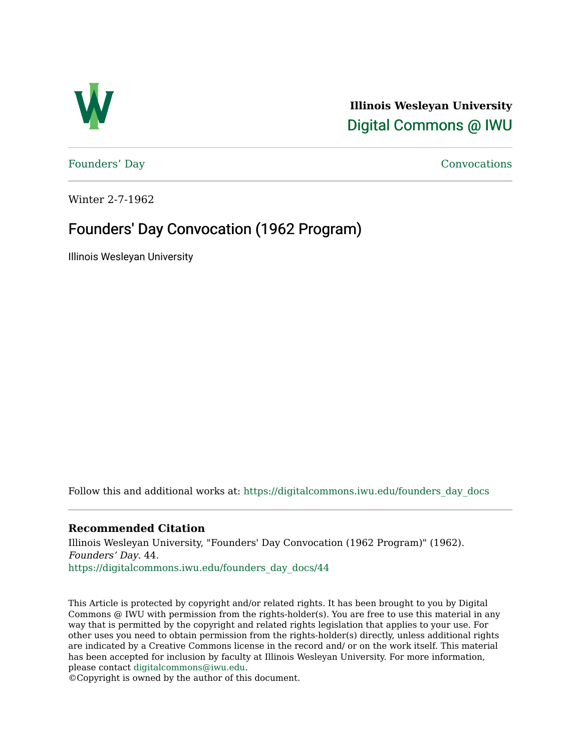

**Illinois Wesleyan University**  [Digital Commons @ IWU](https://digitalcommons.iwu.edu/) 

[Founders' Day](https://digitalcommons.iwu.edu/founders_day_docs) [Convocations](https://digitalcommons.iwu.edu/convocations_docs) 

Winter 2-7-1962

## Founders' Day Convocation (1962 Program)

Illinois Wesleyan University

Follow this and additional works at: [https://digitalcommons.iwu.edu/founders\\_day\\_docs](https://digitalcommons.iwu.edu/founders_day_docs?utm_source=digitalcommons.iwu.edu%2Ffounders_day_docs%2F44&utm_medium=PDF&utm_campaign=PDFCoverPages) 

## **Recommended Citation**

Illinois Wesleyan University, "Founders' Day Convocation (1962 Program)" (1962). Founders' Day. 44. [https://digitalcommons.iwu.edu/founders\\_day\\_docs/44](https://digitalcommons.iwu.edu/founders_day_docs/44?utm_source=digitalcommons.iwu.edu%2Ffounders_day_docs%2F44&utm_medium=PDF&utm_campaign=PDFCoverPages)

This Article is protected by copyright and/or related rights. It has been brought to you by Digital Commons @ IWU with permission from the rights-holder(s). You are free to use this material in any way that is permitted by the copyright and related rights legislation that applies to your use. For other uses you need to obtain permission from the rights-holder(s) directly, unless additional rights are indicated by a Creative Commons license in the record and/ or on the work itself. This material has been accepted for inclusion by faculty at Illinois Wesleyan University. For more information, please contact [digitalcommons@iwu.edu.](mailto:digitalcommons@iwu.edu)

©Copyright is owned by the author of this document.